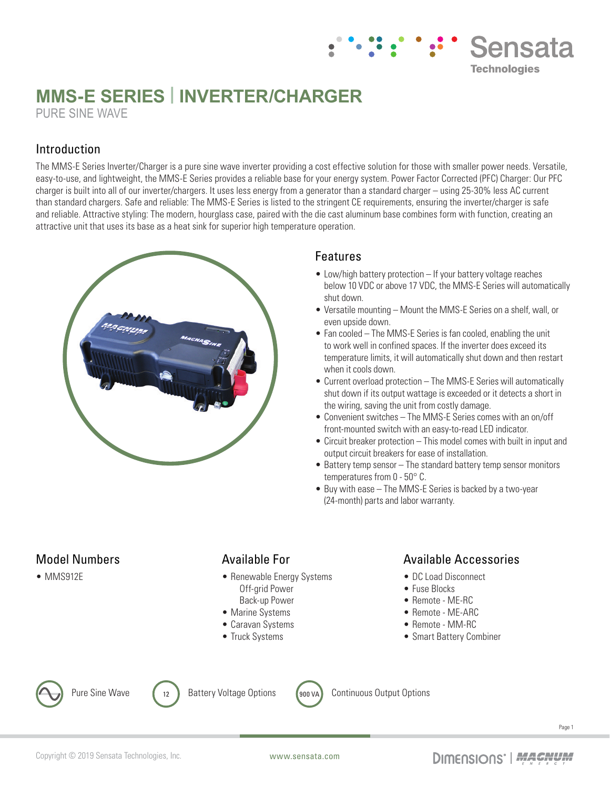# **MMS-E SERIES | INVERTER/CHARGER** PURE SINE WAVE

## Introduction

The MMS-E Series Inverter/Charger is a pure sine wave inverter providing a cost effective solution for those with smaller power needs. Versatile, easy-to-use, and lightweight, the MMS-E Series provides a reliable base for your energy system. Power Factor Corrected (PFC) Charger: Our PFC charger is built into all of our inverter/chargers. It uses less energy from a generator than a standard charger – using 25-30% less AC current than standard chargers. Safe and reliable: The MMS-E Series is listed to the stringent CE requirements, ensuring the inverter/charger is safe and reliable. Attractive styling: The modern, hourglass case, paired with the die cast aluminum base combines form with function, creating an attractive unit that uses its base as a heat sink for superior high temperature operation.



#### Features

• Low/high battery protection – If your battery voltage reaches below 10 VDC or above 17 VDC, the MMS-E Series will automatically shut down.

**Sensata** 

**Technologies** 

- Versatile mounting Mount the MMS-E Series on a shelf, wall, or even upside down.
- Fan cooled The MMS-E Series is fan cooled, enabling the unit to work well in confined spaces. If the inverter does exceed its temperature limits, it will automatically shut down and then restart when it cools down.
- Current overload protection The MMS-E Series will automatically shut down if its output wattage is exceeded or it detects a short in the wiring, saving the unit from costly damage.
- Convenient switches The MMS-E Series comes with an on/off front-mounted switch with an easy-to-read LED indicator.
- Circuit breaker protection This model comes with built in input and output circuit breakers for ease of installation.
- Battery temp sensor The standard battery temp sensor monitors temperatures from 0 - 50° C.
- Buy with ease The MMS-E Series is backed by a two-year (24-month) parts and labor warranty.

## Model Numbers

• MMS912E

#### Available For

- Renewable Energy Systems Off-grid Power
- Back-up Power
- Marine Systems
- Caravan Systems
- Truck Systems

## Available Accessories

- DC Load Disconnect
- Fuse Blocks
- Remote ME-RC
- Remote ME-ARC
- Remote MM-RC
- Smart Battery Combiner





Pure Sine Wave  $\begin{pmatrix} 12 \end{pmatrix}$  Battery Voltage Options  $\begin{pmatrix} 900 \text{ VA} \end{pmatrix}$  Continuous Output Options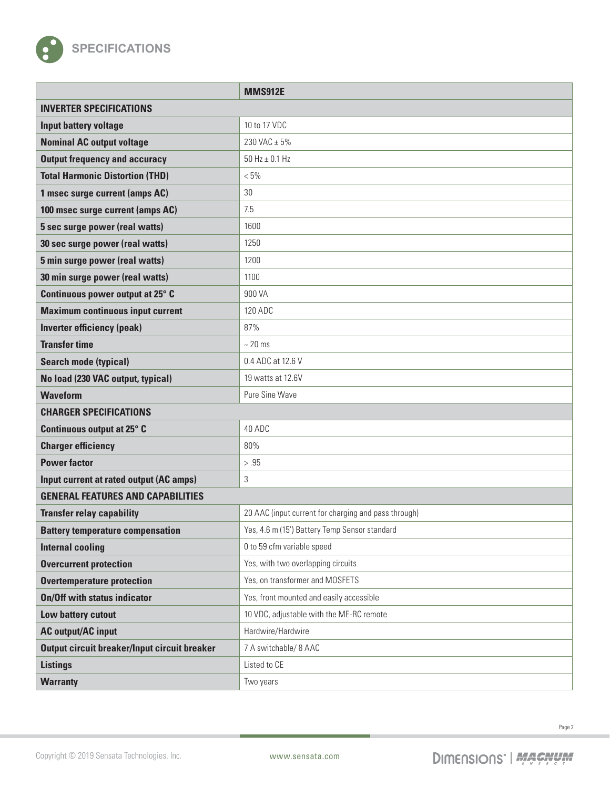

|                                              | <b>MMS912E</b>                                       |
|----------------------------------------------|------------------------------------------------------|
| <b>INVERTER SPECIFICATIONS</b>               |                                                      |
| Input battery voltage                        | 10 to 17 VDC                                         |
| <b>Nominal AC output voltage</b>             | 230 VAC ± 5%                                         |
| <b>Output frequency and accuracy</b>         | $50$ Hz $\pm$ 0.1 Hz                                 |
| <b>Total Harmonic Distortion (THD)</b>       | $< 5\%$                                              |
| 1 msec surge current (amps AC)               | 30                                                   |
| 100 msec surge current (amps AC)             | 7.5                                                  |
| 5 sec surge power (real watts)               | 1600                                                 |
| 30 sec surge power (real watts)              | 1250                                                 |
| 5 min surge power (real watts)               | 1200                                                 |
| 30 min surge power (real watts)              | 1100                                                 |
| Continuous power output at 25° C             | 900 VA                                               |
| <b>Maximum continuous input current</b>      | 120 ADC                                              |
| <b>Inverter efficiency (peak)</b>            | 87%                                                  |
| <b>Transfer time</b>                         | $~20$ ms                                             |
| <b>Search mode (typical)</b>                 | 0.4 ADC at 12.6 V                                    |
| No load (230 VAC output, typical)            | 19 watts at 12.6V                                    |
| <b>Waveform</b>                              | Pure Sine Wave                                       |
| <b>CHARGER SPECIFICATIONS</b>                |                                                      |
| Continuous output at 25° C                   | 40 ADC                                               |
| <b>Charger efficiency</b>                    | 80%                                                  |
| <b>Power factor</b>                          | > .95                                                |
| Input current at rated output (AC amps)      | 3                                                    |
| <b>GENERAL FEATURES AND CAPABILITIES</b>     |                                                      |
| <b>Transfer relay capability</b>             | 20 AAC (input current for charging and pass through) |
| <b>Battery temperature compensation</b>      | Yes, 4.6 m (15') Battery Temp Sensor standard        |
| <b>Internal cooling</b>                      | 0 to 59 cfm variable speed                           |
| <b>Overcurrent protection</b>                | Yes, with two overlapping circuits                   |
| <b>Overtemperature protection</b>            | Yes, on transformer and MOSFETS                      |
| <b>On/Off with status indicator</b>          | Yes, front mounted and easily accessible             |
| Low battery cutout                           | 10 VDC, adjustable with the ME-RC remote             |
| <b>AC output/AC input</b>                    | Hardwire/Hardwire                                    |
| Output circuit breaker/Input circuit breaker | 7 A switchable/ 8 AAC                                |
| <b>Listings</b>                              | Listed to CE                                         |
| <b>Warranty</b>                              | Two years                                            |